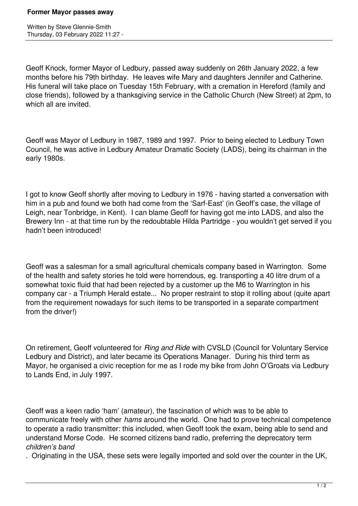Written by Steve Glennie-Smith Thursday, 03 February 2022 11:27 -

Geoff Knock, former Mayor of Ledbury, passed away suddenly on 26th January 2022, a few months before his 79th birthday. He leaves wife Mary and daughters Jennifer and Catherine. His funeral will take place on Tuesday 15th February, with a cremation in Hereford (family and close friends), followed by a thanksgiving service in the Catholic Church (New Street) at 2pm, to which all are invited.

Geoff was Mayor of Ledbury in 1987, 1989 and 1997. Prior to being elected to Ledbury Town Council, he was active in Ledbury Amateur Dramatic Society (LADS), being its chairman in the early 1980s.

I got to know Geoff shortly after moving to Ledbury in 1976 - having started a conversation with him in a pub and found we both had come from the 'Sarf-East' (in Geoff's case, the village of Leigh, near Tonbridge, in Kent). I can blame Geoff for having got me into LADS, and also the Brewery Inn - at that time run by the redoubtable Hilda Partridge - you wouldn't get served if you hadn't been introduced!

Geoff was a salesman for a small agricultural chemicals company based in Warrington. Some of the health and safety stories he told were horrendous, eg. transporting a 40 litre drum of a somewhat toxic fluid that had been rejected by a customer up the M6 to Warrington in his company car - a Triumph Herald estate... No proper restraint to stop it rolling about (quite apart from the requirement nowadays for such items to be transported in a separate compartment from the driver!)

On retirement, Geoff volunteered for *Ring and Ride* with CVSLD (Council for Voluntary Service Ledbury and District), and later became its Operations Manager. During his third term as Mayor, he organised a civic reception for me as I rode my bike from John O'Groats via Ledbury to Lands End, in July 1997.

Geoff was a keen radio 'ham' (amateur), the fascination of which was to be able to communicate freely with other *hams* around the world. One had to prove technical competence to operate a radio transmitter: this included, when Geoff took the exam, being able to send and understand Morse Code. He scorned citizens band radio, preferring the deprecatory term *children's band*

. Originating in the USA, these sets were legally imported and sold over the counter in the UK,